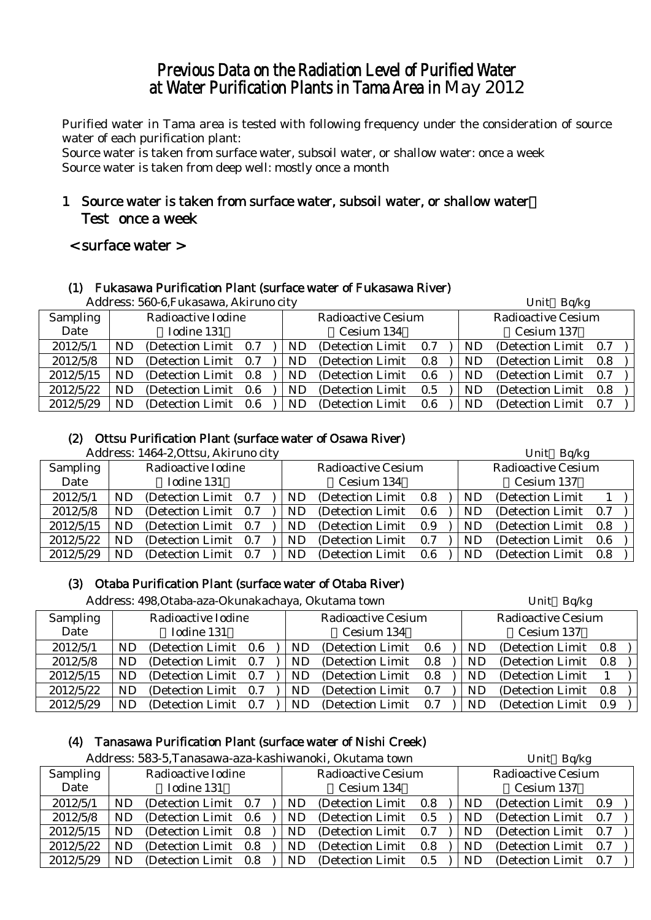## Previous Data on the Radiation Level of Purified Water at Water Purification Plants in Tama Area in May 2012

Purified water in Tama area is tested with following frequency under the consideration of source water of each purification plant:

Source water is taken from surface water, subsoil water, or shallow water: once a week Source water is taken from deep well: mostly once a month

## 1 Source water is taken from surface water, subsoil water, or shallow water: Test once a week

## < surface water >

#### (1) Fukasawa Purification Plant (surface water of Fukasawa River)

|                 |     | Address: 560-6, Fukasawa, Akiruno city |  |     |                           |     |     | Unit Bq/kg<br><b>Radioactive Cesium</b><br>Cesium 137<br>0.7<br>0.8<br>0.7<br>0.8 |     |  |
|-----------------|-----|----------------------------------------|--|-----|---------------------------|-----|-----|-----------------------------------------------------------------------------------|-----|--|
| <b>Sampling</b> |     | Radioactive Iodine                     |  |     | <b>Radioactive Cesium</b> |     |     |                                                                                   |     |  |
| Date            |     | Iodine 131                             |  |     | Cesium 134                |     |     |                                                                                   |     |  |
| 2012/5/1        | ND. | (Detection Limit 0.7)                  |  | ND. | (Detection Limit)         | 0.7 | ND. | (Detection Limit)                                                                 |     |  |
| 2012/5/8        | ND. | (Detection Limit 0.7)                  |  | ND. | (Detection Limit)         | 0.8 | ND. | (Detection Limit)                                                                 |     |  |
| 2012/5/15       | ND. | (Detection Limit 0.8)                  |  | ND. | (Detection Limit)         | 0.6 | ND. | (Detection Limit)                                                                 |     |  |
| 2012/5/22       | ND. | (Detection Limit 0.6)                  |  | ND. | (Detection Limit)         | 0.5 | ND. | (Detection Limit)                                                                 |     |  |
| 2012/5/29       | ND. | (Detection Limit 0.6)                  |  | ND. | (Detection Limit)         | 0.6 | ND  | (Detection Limit)                                                                 | 0.7 |  |

## (2) Ottsu Purification Plant (surface water of Osawa River)

|                 |    | Address: 1464-2, Ottsu, Akiruno city |     |    |                           |     |           | Unit Bq/kg                |     |  |
|-----------------|----|--------------------------------------|-----|----|---------------------------|-----|-----------|---------------------------|-----|--|
| <b>Sampling</b> |    | Radioactive Iodine                   |     |    | <b>Radioactive Cesium</b> |     |           | <b>Radioactive Cesium</b> |     |  |
| Date            |    | Iodine 131                           |     |    | Cesium 134                |     |           | Cesium 137                |     |  |
| 2012/5/1        | ND | (Detection Limit 0.7)                |     | ND | (Detection Limit)         | 0.8 | <b>ND</b> | (Detection Limit)         |     |  |
| 2012/5/8        | ND | (Detection Limit 0.7)                |     | ND | (Detection Limit)         | 0.6 | ND        | (Detection Limit)         | 0.7 |  |
| 2012/5/15       | ND | (Detection Limit 0.7)                |     | ND | (Detection Limit)         | 0.9 | ND        | (Detection Limit)         | 0.8 |  |
| 2012/5/22       | ND | (Detection Limit 0.7)                |     | ND | (Detection Limit)         | 0.7 | ND        | (Detection Limit)         | 0.6 |  |
| 2012/5/29       | ND | (Detection Limit)                    | 0.7 | ND | (Detection Limit)         | 0.6 | <b>ND</b> | (Detection Limit)         | 0.8 |  |

## (3) Otaba Purification Plant (surface water of Otaba River)

|                 |                    | Address: 498, Otaba-aza-Okunakachaya, Okutama town |     |  |    |                           |     |    | Unit Bq/kg                |     |  |
|-----------------|--------------------|----------------------------------------------------|-----|--|----|---------------------------|-----|----|---------------------------|-----|--|
| <b>Sampling</b> | Radioactive Iodine |                                                    |     |  |    | <b>Radioactive Cesium</b> |     |    | <b>Radioactive Cesium</b> |     |  |
| Date            |                    | Iodine 131                                         |     |  |    | Cesium 134                |     |    | Cesium 137                |     |  |
| 2012/5/1        | ND                 | (Detection Limit 0.6                               |     |  | ND | (Detection Limit)         | 0.6 | ND | (Detection Limit 0.8)     |     |  |
| 2012/5/8        | ND                 | (Detection Limit)                                  | 0.7 |  | ND | (Detection Limit)         | 0.8 | ND | (Detection Limit 0.8)     |     |  |
| 2012/5/15       | ND.                | (Detection Limit)                                  | 0.7 |  | ND | (Detection Limit)         | 0.8 | ND | (Detection Limit)         |     |  |
| 2012/5/22       | ND.                | (Detection Limit)                                  | 0.7 |  | ND | (Detection Limit)         | 0.7 | ND | (Detection Limit)         | 0.8 |  |
| 2012/5/29       | ND                 | (Detection Limit)                                  | 0.7 |  | ND | (Detection Limit)         | 0.7 | ND | (Detection Limit)         | 0.9 |  |

## (4) Tanasawa Purification Plant (surface water of Nishi Creek)

|           |            |                       |       |     | Address: 583-5, Tanasawa-aza-kashiwanoki, Okutama town |     |           | Unit Bq/kg                |     |  |
|-----------|------------|-----------------------|-------|-----|--------------------------------------------------------|-----|-----------|---------------------------|-----|--|
| Sampling  |            | Radioactive Iodine    |       |     | <b>Radioactive Cesium</b>                              |     |           | <b>Radioactive Cesium</b> |     |  |
| Date      | Iodine 131 |                       |       |     | Cesium 134                                             |     |           | Cesium 137                |     |  |
| 2012/5/1  | <b>ND</b>  | (Detection Limit 0.7) |       | ND  | (Detection Limit)                                      | 0.8 | ND        | (Detection Limit 0.9)     |     |  |
| 2012/5/8  | ND         | (Detection Limit 0.6) |       | ND. | (Detection Limit)                                      | 0.5 | <b>ND</b> | (Detection Limit)         | 0.7 |  |
| 2012/5/15 | <b>ND</b>  | (Detection Limit)     | 0.8   | ND. | (Detection Limit)                                      | 0.7 | <b>ND</b> | (Detection Limit)         | 0.7 |  |
| 2012/5/22 | <b>ND</b>  | (Detection Limit)     | 0.8   | ND  | (Detection Limit)                                      | 0.8 | ND        | (Detection Limit)         | 0.7 |  |
| 2012/5/29 | ND         | (Detection Limit)     | - 0.8 | ND. | (Detection Limit)                                      | 0.5 | ND.       | (Detection Limit 0.7)     |     |  |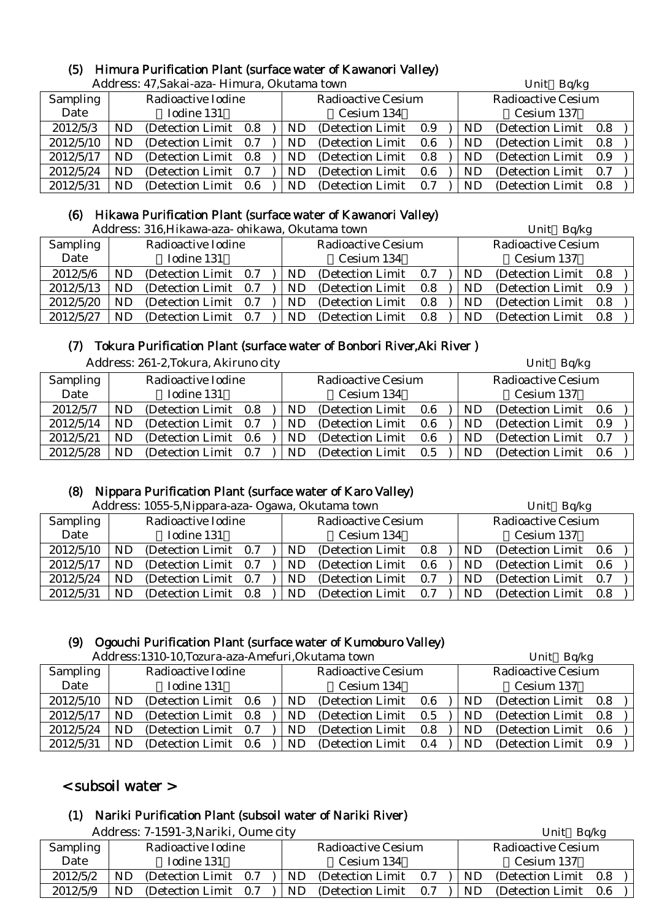# (5) Himura Purification Plant (surface water of Kawanori Valley)

|                 |                             | Address: 47, Sakai-aza- Himura, Okutama town |     |  |     |                           |     | Unit Bq/kg |                           |     |  |  |
|-----------------|-----------------------------|----------------------------------------------|-----|--|-----|---------------------------|-----|------------|---------------------------|-----|--|--|
| <b>Sampling</b> |                             | Radioactive Iodine                           |     |  |     | <b>Radioactive Cesium</b> |     |            | <b>Radioactive Cesium</b> |     |  |  |
| Date            | Iodine 131                  |                                              |     |  |     | Cesium 134                |     |            | Cesium 137                |     |  |  |
| 2012/5/3        | (Detection Limit 0.8)<br>ND |                                              |     |  | ND. | (Detection Limit 0.9)     |     | ND         | (Detection Limit 0.8)     |     |  |  |
| 2012/5/10       | <b>ND</b>                   | (Detection Limit 0.7)                        |     |  | ND. | (Detection Limit)         | 0.6 | ND         | (Detection Limit)         | 0.8 |  |  |
| 2012/5/17       | ND.                         | (Detection Limit 0.8)                        |     |  | ND. | (Detection Limit)         | 0.8 | ND.        | (Detection Limit)         | 0.9 |  |  |
| 2012/5/24       | ND                          | (Detection Limit 0.7)                        |     |  | ND  | (Detection Limit)         | 0.6 | ND         | (Detection Limit)         | 0.7 |  |  |
| 2012/5/31       | ND.                         | (Detection Limit)                            | 0.6 |  | ND. | (Detection Limit)         | 0.7 | ND.        | (Detection Limit)         | 0.8 |  |  |

#### (6) Hikawa Purification Plant (surface water of Kawanori Valley)

Address: 316.Hikawa-aza- ohikawa. Okutama town Unit Bq/kg Unit Bq/kg

|           |    | 7 iddi cəə. 010,1 mid wa aza "onmawa," Ondiama təwif |     |    |                           |     |    | $U$ IIIL $U \psi$ <sub>1</sub> |     |
|-----------|----|------------------------------------------------------|-----|----|---------------------------|-----|----|--------------------------------|-----|
| Sampling  |    | Radioactive Iodine                                   |     |    | <b>Radioactive Cesium</b> |     |    | <b>Radioactive Cesium</b>      |     |
| Date      |    | Iodine 131                                           |     |    | Cesium 134                |     |    | Cesium 137                     |     |
| 2012/5/6  | ND | (Detection Limit 0.7)                                |     | ND | (Detection Limit)         | 0.7 | ND | (Detection Limit)              | 0.8 |
| 2012/5/13 | ND | (Detection Limit 0.7)                                |     | ND | (Detection Limit)         | 0.8 | ND | (Detection Limit)              | 0.9 |
| 2012/5/20 | ND | (Detection Limit 0.7)                                |     | ND | (Detection Limit)         | 0.8 | ND | (Detection Limit)              | 0.8 |
| 2012/5/27 | ND | (Detection Limit)                                    | 0.7 | ND | (Detection Limit)         | 0.8 | ND | (Detection Limit)              | 0.8 |

## (7) Tokura Purification Plant (surface water of Bonbori River,Aki River )

|                 |            | Address: 261-2, Tokura, Akiruno city |  |     |                           |     |     | Unit Bq/kg                |  |
|-----------------|------------|--------------------------------------|--|-----|---------------------------|-----|-----|---------------------------|--|
| <b>Sampling</b> |            | Radioactive Iodine                   |  |     | <b>Radioactive Cesium</b> |     |     | <b>Radioactive Cesium</b> |  |
| Date            | Iodine 131 |                                      |  |     | Cesium 134                |     |     | Cesium 137                |  |
| 2012/5/7        | ND         | (Detection Limit 0.8)                |  | ND. | (Detection Limit 0.6)     |     | ND  | (Detection Limit 0.6)     |  |
| 2012/5/14       | ND         | (Detection Limit 0.7)                |  | ND  | (Detection Limit)         | 0.6 | ND  | (Detection Limit 0.9)     |  |
| 2012/5/21       | ND.        | (Detection Limit 0.6)                |  | ND  | (Detection Limit)         | 0.6 | ND. | (Detection Limit 0.7)     |  |
| 2012/5/28       | ND         | (Detection Limit 0.7)                |  | ND  | (Detection Limit)         | 0.5 | ND. | (Detection Limit 0.6)     |  |

## (8) Nippara Purification Plant (surface water of Karo Valley)

| Address: 1055-5, Nippara-aza- Ogawa, Okutama town<br>Unit Bq/kg<br><b>Radioactive Cesium</b><br>Radioactive Iodine<br><b>Radioactive Cesium</b><br>Sampling<br>Iodine 131<br>Date<br>Cesium 134<br>Cesium 137<br>2012/5/10<br>(Detection Limit 0.7)<br>(Detection Limit 0.6)<br>(Detection Limit)<br>ND.<br>ND.<br>ND.<br>0.8<br>2012/5/17<br>(Detection Limit 0.7)<br>(Detection Limit 0.6<br>(Detection Limit)<br>ND.<br><b>ND</b><br>ND.<br>0.6<br>2012/5/24<br>(Detection Limit 0.7)<br>ND<br>(Detection Limit 0.7)<br>(Detection Limit)<br><b>ND</b><br>ND.<br>0.7 |     |                       |  |           |                   |     |     |                       |  |
|-------------------------------------------------------------------------------------------------------------------------------------------------------------------------------------------------------------------------------------------------------------------------------------------------------------------------------------------------------------------------------------------------------------------------------------------------------------------------------------------------------------------------------------------------------------------------|-----|-----------------------|--|-----------|-------------------|-----|-----|-----------------------|--|
|                                                                                                                                                                                                                                                                                                                                                                                                                                                                                                                                                                         |     |                       |  |           |                   |     |     |                       |  |
|                                                                                                                                                                                                                                                                                                                                                                                                                                                                                                                                                                         |     |                       |  |           |                   |     |     |                       |  |
|                                                                                                                                                                                                                                                                                                                                                                                                                                                                                                                                                                         |     |                       |  |           |                   |     |     |                       |  |
|                                                                                                                                                                                                                                                                                                                                                                                                                                                                                                                                                                         |     |                       |  |           |                   |     |     |                       |  |
|                                                                                                                                                                                                                                                                                                                                                                                                                                                                                                                                                                         |     |                       |  |           |                   |     |     |                       |  |
| 2012/5/31                                                                                                                                                                                                                                                                                                                                                                                                                                                                                                                                                               | ND. | (Detection Limit 0.8) |  | <b>ND</b> | (Detection Limit) | 0.7 | ND. | (Detection Limit 0.8) |  |

#### (9) Ogouchi Purification Plant (surface water of Kumoburo Valley)

|           |           | Address:1310-10, Tozura-aza-Amefuri, Okutama town |                                 |                   |         |                           | Unit Bq/kg |                       |  |  |
|-----------|-----------|---------------------------------------------------|---------------------------------|-------------------|---------|---------------------------|------------|-----------------------|--|--|
| Sampling  |           | Radioactive Iodine                                | <b>Radioactive Cesium</b>       |                   |         | <b>Radioactive Cesium</b> |            |                       |  |  |
| Date      |           | Iodine 131                                        |                                 | Cesium 134        |         |                           | Cesium 137 |                       |  |  |
| 2012/5/10 | ND.       | (Detection Limit 0.6)                             | ND.                             | (Detection Limit) | $0.6\,$ |                           | ND         | (Detection Limit 0.8) |  |  |
| 2012/5/17 | <b>ND</b> | (Detection Limit 0.8)                             | ND.                             | (Detection Limit) | 0.5     |                           | ND         | (Detection Limit 0.8) |  |  |
| 2012/5/24 | ND        | (Detection Limit 0.7)                             | ND.                             | (Detection Limit) | 0.8     |                           | ND.        | (Detection Limit 0.6) |  |  |
| 2012/5/31 | ND        | (Detection Limit 0.6)                             | (Detection Limit)<br>ND.<br>0.4 |                   |         |                           | ND         | (Detection Limit 0.9) |  |  |

## < subsoil water >

## (1) Nariki Purification Plant (subsoil water of Nariki River)

Address: 7-1591-3, Nariki, Oume city Unit Bq/kg Sampling Date Radioactive Iodine Iodine 131 Radioactive Cesium Cesium 134 Radioactive Cesium Cesium 137 2012/5/2 | ND (Detection Limit 0.7 ) | ND (Detection Limit 0.7 ) | ND (Detection Limit 0.8 2012/5/9 | ND (Detection Limit 0.7 ) | ND (Detection Limit 0.7 ) | ND (Detection Limit 0.6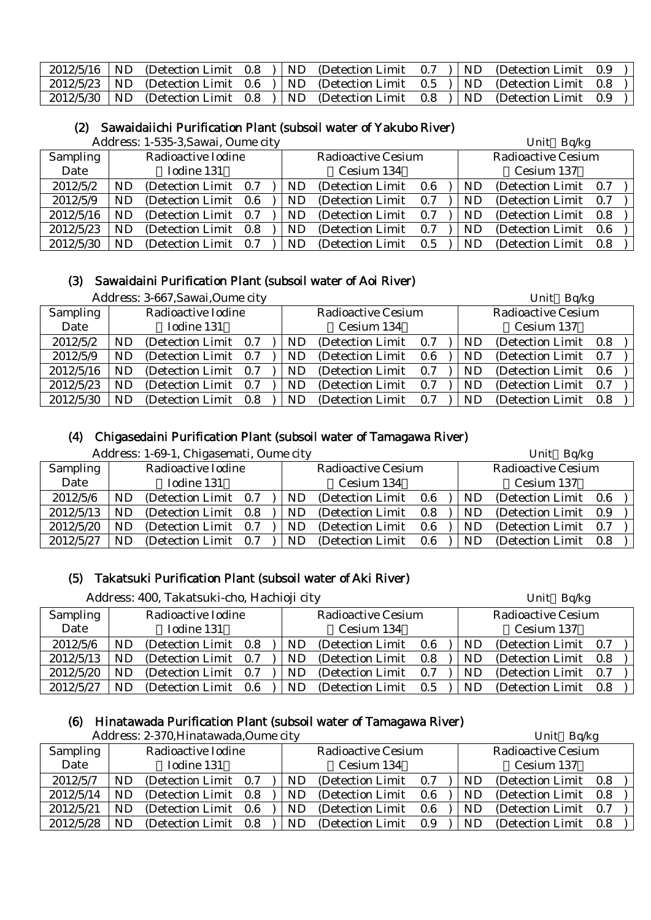| $2012/5/16$   ND |  |  | (Detection Limit $0.8$ ) ND (Detection Limit $0.7$ ) ND (Detection Limit $0.9$              |  |  |
|------------------|--|--|---------------------------------------------------------------------------------------------|--|--|
|                  |  |  | 2012/5/23   ND (Detection Limit 0.6 )   ND (Detection Limit 0.5 )   ND (Detection Limit 0.8 |  |  |
| $2012/5/30$   ND |  |  | (Detection Limit $0.8$ ) ND (Detection Limit $0.8$ ) ND (Detection Limit 0.9                |  |  |

#### (2) Sawaidaiichi Purification Plant (subsoil water of Yakubo River)

Address: 1-535-3,Sawai, Oume city Unit Bq/kg

|           |     | $1.1441$ cool. $1.000$ canceled $1.001$ |  |           |                           |     |    | $\sum_{i=1}^{n}$          |  |
|-----------|-----|-----------------------------------------|--|-----------|---------------------------|-----|----|---------------------------|--|
| Sampling  |     | Radioactive Iodine                      |  |           | <b>Radioactive Cesium</b> |     |    | <b>Radioactive Cesium</b> |  |
| Date      |     | Iodine 131                              |  |           | Cesium 134                |     |    | Cesium 137                |  |
| 2012/5/2  | ND. | (Detection Limit 0.7)                   |  | ND        | (Detection Limit)         | 0.6 | ND | (Detection Limit 0.7)     |  |
| 2012/5/9  | ND. | (Detection Limit 0.6)                   |  | ND.       | (Detection Limit)         | 0.7 | ND | (Detection Limit 0.7)     |  |
| 2012/5/16 | ND. | (Detection Limit 0.7)                   |  | ND        | (Detection Limit 0.7)     |     | ND | (Detection Limit 0.8)     |  |
| 2012/5/23 | ND  | (Detection Limit 0.8)                   |  | ND        | (Detection Limit)         | 0.7 | ND | (Detection Limit 0.6)     |  |
| 2012/5/30 | ND  | (Detection Limit 0.7)                   |  | <b>ND</b> | (Detection Limit)         | 0.5 | ND | (Detection Limit 0.8)     |  |

#### (3) Sawaidaini Purification Plant (subsoil water of Aoi River)

|                 |           | Address: 3-667, Sawai, Oume city |  |     |                           |     |           | Unit Bq/kg                |      |
|-----------------|-----------|----------------------------------|--|-----|---------------------------|-----|-----------|---------------------------|------|
| <b>Sampling</b> |           | Radioactive Iodine               |  |     | <b>Radioactive Cesium</b> |     |           | <b>Radioactive Cesium</b> |      |
| Date            |           | Iodine 131                       |  |     | Cesium 134                |     |           | Cesium 137                |      |
| 2012/5/2        | ND        | (Detection Limit 0.7)            |  | ND  | (Detection Limit)         | 0.7 | ND        | (Detection Limit 0.8)     |      |
| 2012/5/9        | <b>ND</b> | (Detection Limit 0.7)            |  | ND. | (Detection Limit)         | 0.6 | ND        | (Detection Limit 0.7)     |      |
| 2012/5/16       | ND        | (Detection Limit 0.7)            |  | ND. | (Detection Limit)         | 0.7 | ND        | (Detection Limit)         | -0.6 |
| 2012/5/23       | ND        | (Detection Limit 0.7)            |  | ND. | (Detection Limit)         | 0.7 | ND        | (Detection Limit)         | 0.7  |
| 2012/5/30       | <b>ND</b> | (Detection Limit 0.8)            |  | ND. | (Detection Limit)         | 0.7 | <b>ND</b> | (Detection Limit 0.8)     |      |

## (4) Chigasedaini Purification Plant (subsoil water of Tamagawa River)

|                 | Address: 1-69-1, Chigasemati, Oume city |                       |  |  |     |                           |     |  | Unit Bq/kg |                           |  |  |
|-----------------|-----------------------------------------|-----------------------|--|--|-----|---------------------------|-----|--|------------|---------------------------|--|--|
| <b>Sampling</b> |                                         | Radioactive Iodine    |  |  |     | <b>Radioactive Cesium</b> |     |  |            | <b>Radioactive Cesium</b> |  |  |
| Date            |                                         | Iodine 131            |  |  |     | Cesium 134                |     |  |            | Cesium 137                |  |  |
| 2012/5/6        | ND                                      | (Detection Limit 0.7) |  |  | ND. | (Detection Limit)         | 0.6 |  | ND         | (Detection Limit 0.6)     |  |  |
| 2012/5/13       | ND                                      | (Detection Limit 0.8) |  |  | ND. | (Detection Limit)         | 0.8 |  | ND         | (Detection Limit 0.9)     |  |  |
| 2012/5/20       | ND                                      | (Detection Limit 0.7) |  |  | ND. | (Detection Limit)         | 0.6 |  | ND         | (Detection Limit 0.7)     |  |  |
| 2012/5/27       | ND                                      | (Detection Limit 0.7) |  |  | ND. | (Detection Limit)         | 0.6 |  | ND         | (Detection Limit 0.8)     |  |  |

#### (5) Takatsuki Purification Plant (subsoil water of Aki River)

|           | Address: 400, Takatsuki-cho, Hachioji city |                       |       |     |                           |     |           | Unit Bq/kg                |  |  |  |
|-----------|--------------------------------------------|-----------------------|-------|-----|---------------------------|-----|-----------|---------------------------|--|--|--|
| Sampling  |                                            | Radioactive Iodine    |       |     | <b>Radioactive Cesium</b> |     |           | <b>Radioactive Cesium</b> |  |  |  |
| Date      |                                            | Iodine 131            |       |     | Cesium 134                |     |           | Cesium 137                |  |  |  |
| 2012/5/6  | ND                                         | (Detection Limit 0.8) |       | ND. | (Detection Limit 0.6)     |     | <b>ND</b> | (Detection Limit 0.7)     |  |  |  |
| 2012/5/13 | <b>ND</b>                                  | (Detection Limit 0.7) |       | ND. | (Detection Limit)         | 0.8 | ND.       | (Detection Limit 0.8)     |  |  |  |
| 2012/5/20 | <b>ND</b>                                  | (Detection Limit 0.7) |       | ND. | (Detection Limit)         | 0.7 | ND.       | (Detection Limit 0.7)     |  |  |  |
| 2012/5/27 | ND                                         | (Detection Limit)     | - 0.6 | ND  | (Detection Limit)         | 0.5 | <b>ND</b> | (Detection Limit 0.8)     |  |  |  |

#### (6) Hinatawada Purification Plant (subsoil water of Tamagawa River)

|           |           | Address: 2-370, Hinatawada, Oume city |  |            |                           |     | Unit Bq/kg |                           |  |
|-----------|-----------|---------------------------------------|--|------------|---------------------------|-----|------------|---------------------------|--|
| Sampling  |           | Radioactive Iodine                    |  |            | <b>Radioactive Cesium</b> |     |            | <b>Radioactive Cesium</b> |  |
| Date      |           | Iodine 131                            |  | Cesium 134 |                           |     |            | Cesium 137                |  |
| 2012/5/7  | <b>ND</b> | (Detection Limit 0.7)                 |  | ND.        | (Detection Limit)         | 0.7 | ND.        | (Detection Limit 0.8)     |  |
| 2012/5/14 | <b>ND</b> | (Detection Limit 0.8)                 |  | ND.        | (Detection Limit)         | 0.6 | ND.        | (Detection Limit 0.8)     |  |
| 2012/5/21 | <b>ND</b> | (Detection Limit 0.6)                 |  | ND.        | (Detection Limit)         | 0.6 | ND.        | (Detection Limit 0.7)     |  |
| 2012/5/28 | <b>ND</b> | (Detection Limit 0.8)                 |  | ND.        | (Detection Limit)         | 0.9 | ND         | (Detection Limit 0.8)     |  |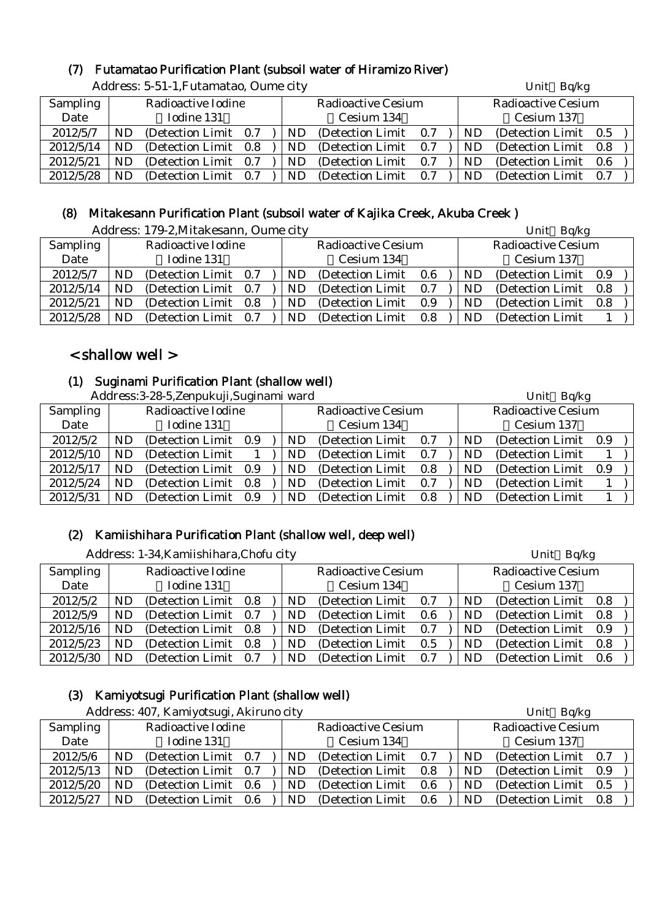## (7) Futamatao Purification Plant (subsoil water of Hiramizo River)

|                 | Additess. 0-01-1,1 diamatau, Odine thy |                       |  |  |     |                           |     |  | $UIIIU$ Dy $n$ g |                           |     |  |  |  |
|-----------------|----------------------------------------|-----------------------|--|--|-----|---------------------------|-----|--|------------------|---------------------------|-----|--|--|--|
| <b>Sampling</b> | Radioactive Iodine                     |                       |  |  |     | <b>Radioactive Cesium</b> |     |  |                  | <b>Radioactive Cesium</b> |     |  |  |  |
| Date            | Iodine 131                             |                       |  |  |     | Cesium 134                |     |  |                  | Cesium 137                |     |  |  |  |
| 2012/5/7        | ND                                     | (Detection Limit 0.7) |  |  | ND  | (Detection Limit 0.7)     |     |  | ND               | (Detection Limit)         | 0.5 |  |  |  |
| 2012/5/14       | <b>ND</b>                              | (Detection Limit 0.8) |  |  | ND. | (Detection Limit 0.7)     |     |  | ND               | (Detection Limit)         | 0.8 |  |  |  |
| 2012/5/21       | ND.                                    | (Detection Limit 0.7) |  |  | ND. | (Detection Limit)         | 0.7 |  | ND.              | (Detection Limit)         | 0.6 |  |  |  |
| 2012/5/28       | ND.                                    | (Detection Limit 0.7) |  |  | ND  | (Detection Limit)         | 0.7 |  | ${\rm ND}$       | (Detection Limit)         | 0.7 |  |  |  |

Address: 5-51-1, Futamatao, Oume city **Example 2018** Unit Bolkg

## (8) Mitakesann Purification Plant (subsoil water of Kajika Creek, Akuba Creek )

|           |     | Address: 179-2, Mitakesann, Oume city |            |                           |     | Unit Bq/kg                |                       |     |  |
|-----------|-----|---------------------------------------|------------|---------------------------|-----|---------------------------|-----------------------|-----|--|
| Sampling  |     | Radioactive Iodine                    |            | <b>Radioactive Cesium</b> |     | <b>Radioactive Cesium</b> |                       |     |  |
| Date      |     | Iodine 131                            | Cesium 134 |                           |     |                           | Cesium 137            |     |  |
| 2012/5/7  | ND  | (Detection Limit 0.7)                 | ND.        | (Detection Limit)         | 0.6 | ND.                       | (Detection Limit 0.9) |     |  |
| 2012/5/14 | ND. | (Detection Limit 0.7)                 | ND         | (Detection Limit)         | 0.7 | ND.                       | (Detection Limit 0.8) |     |  |
| 2012/5/21 | ND  | (Detection Limit 0.8)                 | ND         | (Detection Limit)         | 0.9 | ND                        | (Detection Limit)     | 0.8 |  |
| 2012/5/28 | ND  | (Detection Limit 0.7)                 | ND.        | (Detection Limit)         | 0.8 | ND                        | (Detection Limit)     |     |  |

## < shallow well >

#### (1) Suginami Purification Plant (shallow well)

Address: 3-28-5, Zennukuji, Suginami ward Unit Balkgare Unit Balkg

|                 | $A$ uul $\epsilon$ ss. 3-20-9, $L$ enpu $\alpha$ uli, $\beta$ uginann waru |                       |  |     |                           |     |    | $UIIIU$ Dy $n$ g          |     |  |
|-----------------|----------------------------------------------------------------------------|-----------------------|--|-----|---------------------------|-----|----|---------------------------|-----|--|
| <b>Sampling</b> |                                                                            | Radioactive Iodine    |  |     | <b>Radioactive Cesium</b> |     |    | <b>Radioactive Cesium</b> |     |  |
| Date            |                                                                            | Iodine 131            |  |     | Cesium 134                |     |    | Cesium 137                |     |  |
| 2012/5/2        | ND                                                                         | (Detection Limit 0.9) |  | ND  | (Detection Limit)         | 0.7 | ND | (Detection Limit)         | 0.9 |  |
| 2012/5/10       | ND                                                                         | (Detection Limit)     |  | ND  | (Detection Limit)         | 0.7 | ND | (Detection Limit)         |     |  |
| 2012/5/17       | ND                                                                         | (Detection Limit 0.9) |  | ND. | (Detection Limit)         | 0.8 | ND | (Detection Limit)         | 0.9 |  |
| 2012/5/24       | ND                                                                         | (Detection Limit 0.8) |  | ND. | (Detection Limit)         | 0.7 | ND | (Detection Limit)         |     |  |
| 2012/5/31       | ND                                                                         | (Detection Limit 0.9  |  | ND  | (Detection Limit)         | 0.8 | ND | (Detection Limit)         |     |  |

#### (2) Kamiishihara Purification Plant (shallow well, deep well)

|                 | Address: 1-34, Kamiishihara, Chofu city |                    |     |  |     |                           |     | Unit Bq/kg |                           |     |  |  |
|-----------------|-----------------------------------------|--------------------|-----|--|-----|---------------------------|-----|------------|---------------------------|-----|--|--|
| <b>Sampling</b> |                                         | Radioactive Iodine |     |  |     | <b>Radioactive Cesium</b> |     |            | <b>Radioactive Cesium</b> |     |  |  |
| Date            |                                         | Iodine 131         |     |  |     | Cesium 134                |     |            | Cesium 137                |     |  |  |
| 2012/5/2        | <b>ND</b>                               | (Detection Limit)  | 0.8 |  | ND  | (Detection Limit)         | 0.7 | <b>ND</b>  | (Detection Limit)         | 0.8 |  |  |
| 2012/5/9        | ND.                                     | (Detection Limit)  | 0.7 |  | ND. | (Detection Limit)         | 0.6 | <b>ND</b>  | (Detection Limit 0.8)     |     |  |  |
| 2012/5/16       | ND.                                     | (Detection Limit)  | 0.8 |  | ND  | (Detection Limit)         | 0.7 | ND         | (Detection Limit 0.9)     |     |  |  |
| 2012/5/23       | ND.                                     | (Detection Limit)  | 0.8 |  | ND  | (Detection Limit)         | 0.5 | <b>ND</b>  | (Detection Limit)         | 0.8 |  |  |
| 2012/5/30       | <b>ND</b>                               | (Detection Limit)  | 0.7 |  | ND  | (Detection Limit)         | 0.7 | ND         | (Detection Limit)         | 0.6 |  |  |

#### (3) Kamiyotsugi Purification Plant (shallow well)

| Address: 407, Kamiyotsugi, Akiruno city |     |                       |            |                           | Unit Bq/kg |  |     |                           |     |  |
|-----------------------------------------|-----|-----------------------|------------|---------------------------|------------|--|-----|---------------------------|-----|--|
| Sampling                                |     | Radioactive Iodine    |            | <b>Radioactive Cesium</b> |            |  |     | <b>Radioactive Cesium</b> |     |  |
| Date                                    |     | Iodine 131            | Cesium 134 |                           |            |  |     | Cesium 137                |     |  |
| 2012/5/6                                | ND  | (Detection Limit 0.7) | ND.        | (Detection Limit)         | 0.7        |  | ND. | (Detection Limit 0.7)     |     |  |
| 2012/5/13                               | ND. | (Detection Limit 0.7) | ND.        | (Detection Limit)         | 0.8        |  | ND. | (Detection Limit 0.9)     |     |  |
| 2012/5/20                               | ND. | (Detection Limit 0.6) | ND.        | (Detection Limit)         | 0.6        |  | ND. | (Detection Limit)         | 0.5 |  |
| 2012/5/27                               | ND. | (Detection Limit 0.6) | ND.        | (Detection Limit)         | $0.6\,$    |  | ND. | (Detection Limit)         | 0.8 |  |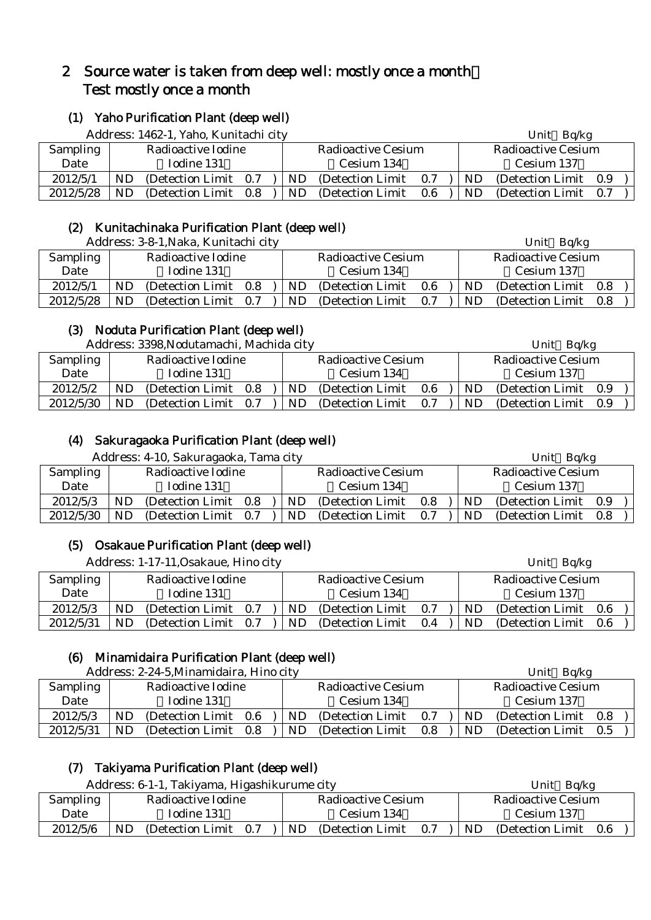## 2 Source water is taken from deep well: mostly once a month: Test mostly once a month

## (1) Yaho Purification Plant (deep well)

Address: 1462-1, Yaho, Kunitachi city Unit Bq/kg

|                 |           | Tradition. I Tow T, Tano, Indifficulties |     |           |                    |            | ັບມີເປ<br>Pulle |                    |     |  |  |
|-----------------|-----------|------------------------------------------|-----|-----------|--------------------|------------|-----------------|--------------------|-----|--|--|
| <b>Sampling</b> |           | Radioactive Iodine                       |     |           | Radioactive Cesium |            |                 | Radioactive Cesium |     |  |  |
| Date            |           | Todine 131                               |     |           | Cesium 134         | Cesium 137 |                 |                    |     |  |  |
| 2012/5/1        | <b>ND</b> | (Detection Limit 0.7)                    |     | <b>ND</b> | (Detection Limit)  | 0.7        | ND.             | (Detection Limit)  | 0.9 |  |  |
| 2012/5/28       | ND        | (Detection Limit)                        | 0.8 | <b>ND</b> | (Detection Limit)  | $0.6\,$    | ND              | (Detection Limit)  | 0.7 |  |  |

#### (2) Kunitachinaka Purification Plant (deep well)

Address: 3-8-1, Naka, Kunitachi city Unit Bq/kg

|                 | Tradi CSS. O O T,I vana, Trahitachi City |                   |     |  |    |                    |         | VIIIL DUINE |                    |     |  |  |
|-----------------|------------------------------------------|-------------------|-----|--|----|--------------------|---------|-------------|--------------------|-----|--|--|
| <b>Sampling</b> | Radioactive Iodine                       |                   |     |  |    | Radioactive Cesium |         |             | Radioactive Cesium |     |  |  |
| Date            |                                          | Iodine 131        |     |  |    | Cesium 134         |         | Cesium 137  |                    |     |  |  |
| 2012/5/1        | ND.                                      | (Detection Limit) | 0.8 |  | ND | (Detection Limit)  | $0.6\,$ | ND.         | (Detection Limit)  | 0.8 |  |  |
| 2012/5/28       | ND.                                      | (Detection Limit) | 0.7 |  | ND | (Detection Limit)  | 0.7     | ND          | (Detection Limit)  | 0.8 |  |  |

#### (3) Noduta Purification Plant (deep well)

Address: 3398,Nodutamachi, Machida city Unit Bq/kg

|                 | 7 ruur cool. oovoli voudtumaem, maemaa eri j |                       |  |  |           |                    |     |            | ັບມີເປ<br>$-4115$     |  |  |
|-----------------|----------------------------------------------|-----------------------|--|--|-----------|--------------------|-----|------------|-----------------------|--|--|
| <b>Sampling</b> |                                              | Radioactive Iodine    |  |  |           | Radioactive Cesium |     |            | Radioactive Cesium    |  |  |
| Date            |                                              | Iodine 131            |  |  |           | Cesium 134         |     | Cesium 137 |                       |  |  |
| 2012/5/2        | ND                                           | (Detection Limit 0.8) |  |  | <b>ND</b> | (Detection Limit)  | 0.6 | <b>ND</b>  | (Detection Limit 0.9) |  |  |
| 2012/5/30       | ND.                                          | (Detection Limit 0.7) |  |  | ND        | (Detection Limit)  | 0.7 | ND         | (Detection Limit 0.9) |  |  |

## (4) Sakuragaoka Purification Plant (deep well)

Address: 4-10, Sakuragaoka, Tama city Unit Bolkg Unit Bolkg

|                 | 7 iddi cəs. + 10, Danui ağabna, Tafila City |                   |     |  |     |                           |         |  |    | <b>UIII</b><br><b>DUINE</b> |  |  |  |
|-----------------|---------------------------------------------|-------------------|-----|--|-----|---------------------------|---------|--|----|-----------------------------|--|--|--|
| <b>Sampling</b> | Radioactive Iodine                          |                   |     |  |     | <b>Radioactive Cesium</b> |         |  |    | Radioactive Cesium          |  |  |  |
| Date            |                                             | Iodine 131        |     |  |     | Cesium 134                |         |  |    | Cesium 137                  |  |  |  |
| 2012/5/3        | ND                                          | (Detection Limit) | 0.8 |  | ND  | (Detection Limit)         | $0.8\,$ |  | ND | (Detection Limit 0.9)       |  |  |  |
| 2012/5/30       | ND                                          | (Detection Limit) | 0.7 |  | ND. | (Detection Limit)         | 0.7     |  | ND | (Detection Limit 0.8)       |  |  |  |

#### (5) Osakaue Purification Plant (deep well)

Address: 1-17-11, Osakaue, Hino city **Example 2018** Unit Bq/kg

| Sampling  |     | Radioactive Iodine    |            | Radioactive Cesium |     |     | Radioactive Cesium    |  |  |  |
|-----------|-----|-----------------------|------------|--------------------|-----|-----|-----------------------|--|--|--|
| Date      |     | Iodine 131            | Cesium 134 |                    |     |     | Cesium 137            |  |  |  |
| 2012/5/3  | ND. | (Detection Limit 0.7) | ND.        | (Detection Limit)  | 0.7 | ND. | (Detection Limit 0.6) |  |  |  |
| 2012/5/31 | ND. | (Detection Limit 0.7) | ND.        | (Detection Limit)  | 0.4 | ND. | (Detection Limit 0.6) |  |  |  |

#### (6) Minamidaira Purification Plant (deep well)

Address: 2-24-5 Minamidaira, Hino city Unit Bq/kg

|                 | $A$ uurtss. $\mathcal{L}$ - $\mathcal{L}$ +-9,iviniamidan a, Timo tity |                    |         |  |            |                    |     |            |           | UIIIL DU/NE           |  |  |  |  |
|-----------------|------------------------------------------------------------------------|--------------------|---------|--|------------|--------------------|-----|------------|-----------|-----------------------|--|--|--|--|
| <b>Sampling</b> |                                                                        | Radioactive Iodine |         |  |            | Radioactive Cesium |     |            |           | Radioactive Cesium    |  |  |  |  |
| Date            |                                                                        | Iodine 131         |         |  | Cesium 134 |                    |     | Cesium 137 |           |                       |  |  |  |  |
| 2012/5/3        | ND                                                                     | (Detection Limit)  | $0.6\,$ |  | ND.        | (Detection Limit)  | 0.7 |            | <b>ND</b> | (Detection Limit 0.8) |  |  |  |  |
| 2012/5/31       | ND                                                                     | (Detection Limit)  | 0.8     |  | ND         | (Detection Limit)  | 0.8 |            | <b>ND</b> | (Detection Limit 0.5) |  |  |  |  |

## (7) Takiyama Purification Plant (deep well)

|                 | Address: 6-1-1, Takiyama, Higashikurume city |                    |     |                    |                   |     |     | Unit Bq/kg         |     |  |  |
|-----------------|----------------------------------------------|--------------------|-----|--------------------|-------------------|-----|-----|--------------------|-----|--|--|
| <b>Sampling</b> |                                              | Radioactive Iodine |     | Radioactive Cesium |                   |     |     | Radioactive Cesium |     |  |  |
| Date            |                                              | Iodine 131         |     |                    | Cesium 134        |     |     | Cesium 137         |     |  |  |
| 2012/5/6        | ND                                           | (Detection Limit)  | 0.7 | ND                 | (Detection Limit) | 0.7 | ND. | (Detection Limit)  | 0.6 |  |  |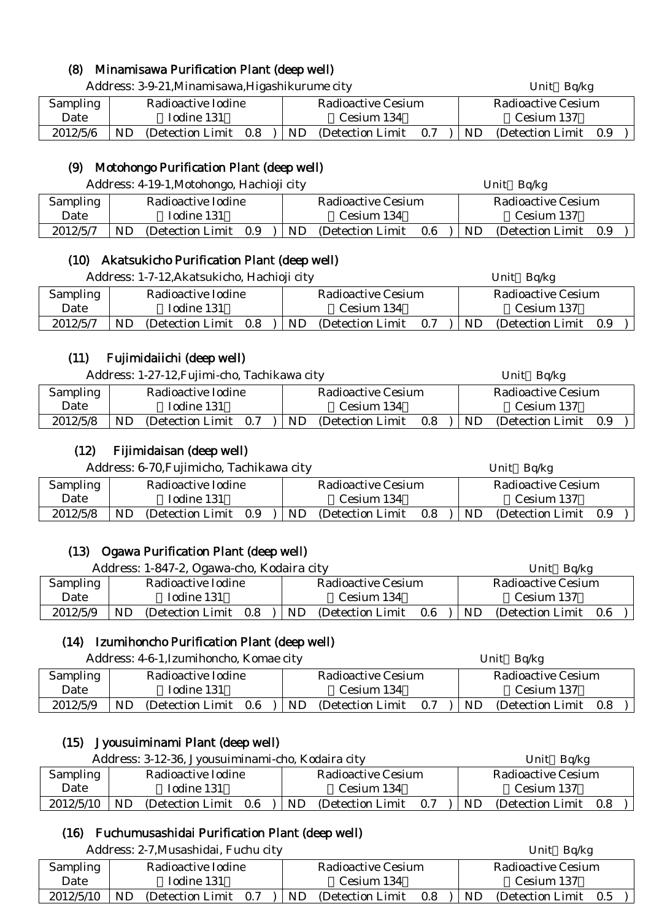## (8) Minamisawa Purification Plant (deep well)

|          | Address: 3-9-21, Minamisawa, Higashikurume city |                       |  |  |                    |                   |     |     | Unit $Bq/kg$          |  |  |  |  |
|----------|-------------------------------------------------|-----------------------|--|--|--------------------|-------------------|-----|-----|-----------------------|--|--|--|--|
| Sampling | Radioactive Iodine                              |                       |  |  | Radioactive Cesium |                   |     |     | Radioactive Cesium    |  |  |  |  |
| Date     | Iodine 131                                      |                       |  |  | Cesium 134         |                   |     |     | Cesium 137            |  |  |  |  |
| 2012/5/6 | ND                                              | (Detection Limit 0.8) |  |  | <b>ND</b>          | (Detection Limit) | 0.7 | ND. | (Detection Limit 0.9) |  |  |  |  |

## (9) Motohongo Purification Plant (deep well)

|                 | Address: 4-19-1, Motohongo, Hachioji city | Bq/kg<br>Unit                         |                              |  |  |  |
|-----------------|-------------------------------------------|---------------------------------------|------------------------------|--|--|--|
| <b>Sampling</b> | Radioactive Iodine                        | Radioactive Cesium                    | <b>Radioactive Cesium</b>    |  |  |  |
| Date            | Iodine 131                                | Cesium 134                            | Cesium 137                   |  |  |  |
| 2012/5/7        | (Detection Limit)<br>0.9<br>ND            | <b>ND</b><br>(Detection Limit)<br>0.6 | ND.<br>(Detection Limit 0.9) |  |  |  |

#### (10) Akatsukicho Purification Plant (deep well)

| Address: 1-7-12, Akatsukicho, Hachioji city |                    |                   |     |                    |                   |            | Bq/kg<br>Unit |                    |     |  |  |
|---------------------------------------------|--------------------|-------------------|-----|--------------------|-------------------|------------|---------------|--------------------|-----|--|--|
| Sampling                                    | Radioactive Iodine |                   |     | Radioactive Cesium |                   |            |               | Radioactive Cesium |     |  |  |
| Date                                        | Iodine 131         |                   |     |                    | Cesium 134        | Cesium 137 |               |                    |     |  |  |
| 2012/5/7                                    | ND.                | (Detection Limit) | 0.8 | ND                 | (Detection Limit) | 0.7        | <b>ND</b>     | (Detection Limit)  | 0.9 |  |  |

## (11) Fujimidaiichi (deep well)

|          | Address: 1-27-12, Fujimi-cho, Tachikawa city |                       |  |                    |                   |     |  | Unit $Bq/kg$              |                   |     |  |
|----------|----------------------------------------------|-----------------------|--|--------------------|-------------------|-----|--|---------------------------|-------------------|-----|--|
| Sampling |                                              | Radioactive Iodine    |  | Radioactive Cesium |                   |     |  | <b>Radioactive Cesium</b> |                   |     |  |
| Date     |                                              | Iodine 131            |  | Cesium 134         |                   |     |  | Cesium 137                |                   |     |  |
| 2012/5/8 | ND                                           | (Detection Limit 0.7) |  | ND.                | (Detection Limit) | 0.8 |  | ND.                       | (Detection Limit) | 0.9 |  |

## (12) Fijimidaisan (deep well)

| Address: 6-70, Fujimicho, Tachikawa city |                    |                   |     |  |                    |                   | Unit Bq/kg |    |                       |  |  |  |
|------------------------------------------|--------------------|-------------------|-----|--|--------------------|-------------------|------------|----|-----------------------|--|--|--|
| Sampling                                 | Radioactive Iodine |                   |     |  | Radioactive Cesium |                   |            |    | Radioactive Cesium    |  |  |  |
| Date                                     |                    | Iodine 131        |     |  |                    | Cesium 134        |            |    | Cesium 137            |  |  |  |
| 2012/5/8                                 | ND                 | (Detection Limit) | 0.9 |  | ND.                | (Detection Limit) | 0.8        | ND | (Detection Limit 0.9) |  |  |  |

## (13) Ogawa Purification Plant (deep well)

|          | Address: 1-847-2, Ogawa-cho, Kodaira city | Ba/kg<br>Unit                   |                                  |  |  |  |
|----------|-------------------------------------------|---------------------------------|----------------------------------|--|--|--|
| Sampling | Radioactive Iodine                        | Radioactive Cesium              | Radioactive Cesium               |  |  |  |
| Date     | Iodine 131                                | Cesium 134                      | Cesium 137                       |  |  |  |
| 2012/5/9 | ND<br>(Detection Limit)<br>0.8            | ND.<br>0.6<br>(Detection Limit) | ND<br>(Detection Limit)<br>- 0.6 |  |  |  |

## (14) Izumihoncho Purification Plant (deep well)

| Address: 4-6-1, Izumihoncho, Komae city |     |                    |     |  |           |                    |     |  | Unit $Bq/kg$ |                           |  |  |  |
|-----------------------------------------|-----|--------------------|-----|--|-----------|--------------------|-----|--|--------------|---------------------------|--|--|--|
| <b>Sampling</b>                         |     | Radioactive Iodine |     |  |           | Radioactive Cesium |     |  |              | <b>Radioactive Cesium</b> |  |  |  |
| Date                                    |     | Iodine 131         |     |  |           | Cesium 134         |     |  |              | Cesium 137                |  |  |  |
| 2012/5/9                                | ND. | (Detection Limit)  | 0.6 |  | <b>ND</b> | (Detection Limit)  | 0.7 |  | ND.          | (Detection Limit 0.8)     |  |  |  |

## (15) Jyousuiminami Plant (deep well)

|           | Address: 3-12-36, Jyousuiminami-cho, Kodaira city |                   |     |                    |                   |     |     |                       | Unit Bq/kg |  |  |  |
|-----------|---------------------------------------------------|-------------------|-----|--------------------|-------------------|-----|-----|-----------------------|------------|--|--|--|
| Sampling  | Radioactive Iodine                                |                   |     | Radioactive Cesium |                   |     |     | Radioactive Cesium    |            |  |  |  |
| Date      |                                                   | Iodine 131        |     |                    | Cesium 134        |     |     | Cesium 137            |            |  |  |  |
| 2012/5/10 | ND.                                               | (Detection Limit) | 0.6 | ND.                | (Detection Limit) | 0.7 | ND. | (Detection Limit 0.8) |            |  |  |  |

## (16) Fuchumusashidai Purification Plant (deep well)

| Address: 2-7, Musashidai, Fuchu city |     |                       |  |                    |                   |     |    | Unit $Bq/kg$          |  |  |
|--------------------------------------|-----|-----------------------|--|--------------------|-------------------|-----|----|-----------------------|--|--|
| Sampling                             |     | Radioactive Iodine    |  | Radioactive Cesium |                   |     |    | Radioactive Cesium    |  |  |
| Date                                 |     | Iodine 131            |  |                    | Cesium 134        |     |    | Cesium 137            |  |  |
| 2012/5/10                            | ND. | (Detection Limit 0.7) |  | ND.                | (Detection Limit) | 0.8 | ND | (Detection Limit 0.5) |  |  |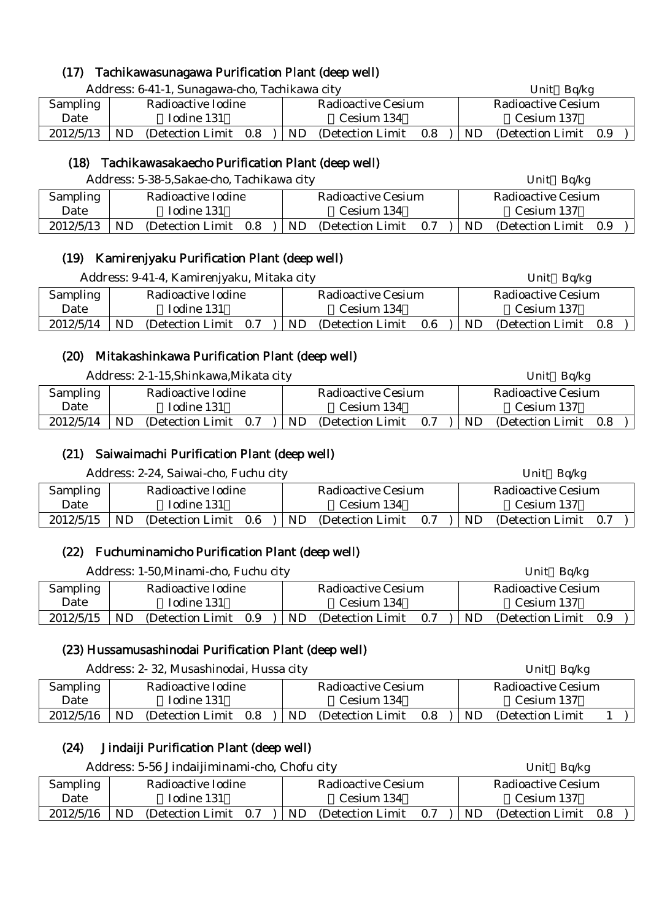## (17) Tachikawasunagawa Purification Plant (deep well)

|           | Address: 6-41-1, Sunagawa-cho, Tachikawa city |                       |  |  |                    |                   |     |     | Unit Bq/kg            |  |  |  |
|-----------|-----------------------------------------------|-----------------------|--|--|--------------------|-------------------|-----|-----|-----------------------|--|--|--|
| Sampling  | Radioactive Iodine                            |                       |  |  | Radioactive Cesium |                   |     |     | Radioactive Cesium    |  |  |  |
| Date      | Iodine 131                                    |                       |  |  | Cesium 134         |                   |     |     | Cesium 137            |  |  |  |
| 2012/5/13 | ND                                            | (Detection Limit 0.8) |  |  | ND.                | (Detection Limit) | 0.8 | ND. | (Detection Limit 0.9) |  |  |  |

## (18) Tachikawasakaecho Purification Plant (deep well)

|                 | Address: 5-38-5, Sakae-cho, Tachikawa city | Unit $Bq/kg$                    |                              |  |  |
|-----------------|--------------------------------------------|---------------------------------|------------------------------|--|--|
| <b>Sampling</b> | Radioactive Iodine                         | <b>Radioactive Cesium</b>       | Radioactive Cesium           |  |  |
| Date            | Iodine 131                                 | Cesium 134                      | Cesium 137                   |  |  |
| 2012/5/13       | ND<br>0.8<br>(Detection Limit)             | ND.<br>0.7<br>(Detection Limit) | ND.<br>(Detection Limit 0.9) |  |  |

#### (19) Kamirenjyaku Purification Plant (deep well)

|                 | Address: 9-41-4, Kamirenjyaku, Mitaka city |                                 | Unit $Bq/kg$                       |  |  |  |
|-----------------|--------------------------------------------|---------------------------------|------------------------------------|--|--|--|
| <b>Sampling</b> | Radioactive Iodine                         | <b>Radioactive Cesium</b>       | <b>Radioactive Cesium</b>          |  |  |  |
| Date            | Iodine 131                                 | Cesium 134                      | Cesium 137                         |  |  |  |
| 2012/5/14       | ND.<br>(Detection Limit 0.7)               | (Detection Limit)<br>ND.<br>0.6 | <b>ND</b><br>(Detection Limit 0.8) |  |  |  |

#### (20) Mitakashinkawa Purification Plant (deep well)

| Address: 2-1-15, Shinkawa, Mikata city |                    |                       |  |            |                    |     | Unit $Bq/kg$       |                   |       |  |
|----------------------------------------|--------------------|-----------------------|--|------------|--------------------|-----|--------------------|-------------------|-------|--|
| Sampling                               | Radioactive Iodine |                       |  |            | Radioactive Cesium |     | Radioactive Cesium |                   |       |  |
| Date                                   |                    | Iodine 131            |  | Cesium 134 |                    |     | Cesium 137         |                   |       |  |
| 2012/5/14                              | ND.                | (Detection Limit 0.7) |  | <b>ND</b>  | (Detection Limit)  | 0.7 | ND.                | (Detection Limit) | - 0.8 |  |

## (21) Saiwaimachi Purification Plant (deep well)

|          | Address: 2-24, Saiwai-cho, Fuchu city |                    |
|----------|---------------------------------------|--------------------|
| Sampling | Radioactive Iodine                    | Radioactive Cesium |

| Sampling  | Radioactive Iodine |                   |     |  |     | Radioactive Cesium |     |           | Radioactive Cesium |     |  |  |
|-----------|--------------------|-------------------|-----|--|-----|--------------------|-----|-----------|--------------------|-----|--|--|
| Date      |                    | Iodine 131        |     |  |     | Cesium 134         |     |           | Cesium 137         |     |  |  |
| 2012/5/15 | ND                 | (Detection Limit) | 0.6 |  | ND. | (Detection Limit)  | 0.7 | <b>ND</b> | (Detection Limit)  | 0.7 |  |  |

Unit Bq/kg

## (22) Fuchuminamicho Purification Plant (deep well)

|           |                    | Address: 1-50, Minami-cho, Fuchu city |     |  |     |                    |     |            | Unit $Bq/kg$       |     |  |  |
|-----------|--------------------|---------------------------------------|-----|--|-----|--------------------|-----|------------|--------------------|-----|--|--|
| Sampling  | Radioactive Iodine |                                       |     |  |     | Radioactive Cesium |     |            | Radioactive Cesium |     |  |  |
| Date      | Iodine 131         |                                       |     |  |     | Cesium 134         |     | Cesium 137 |                    |     |  |  |
| 2012/5/15 | ND.                | (Detection Limit)                     | 0.9 |  | ND. | (Detection Limit)  | 0.7 | ND.        | (Detection Limit)  | 0.9 |  |  |

## (23) Hussamusashinodai Purification Plant (deep well)

Address: 2-32, Musashinodai, Hussa city Unit Bq/kg

| <b>Sampling</b> | Radioactive Iodine             | Radioactive Cesium             | Radioactive Cesium      |
|-----------------|--------------------------------|--------------------------------|-------------------------|
| Date            | Iodine 131                     | Cesium 134                     | Cesium 137              |
| 2012/5/16       | ND<br>(Detection Limit)<br>0.8 | ND<br>(Detection Limit)<br>0.8 | ND<br>(Detection Limit) |

## (24) Jindaiji Purification Plant (deep well)

|           | Address: 5-56 Jindaijiminami-cho, Chofu city |                                 | Unit $Bq/kg$                 |  |  |  |
|-----------|----------------------------------------------|---------------------------------|------------------------------|--|--|--|
| Sampling  | Radioactive Iodine                           | Radioactive Cesium              | Radioactive Cesium           |  |  |  |
| Date      | Iodine 131                                   | Cesium 134                      | Cesium 137                   |  |  |  |
| 2012/5/16 | <b>ND</b><br>(Detection Limit 0.7)           | ND.<br>(Detection Limit)<br>0.7 | ND.<br>(Detection Limit 0.8) |  |  |  |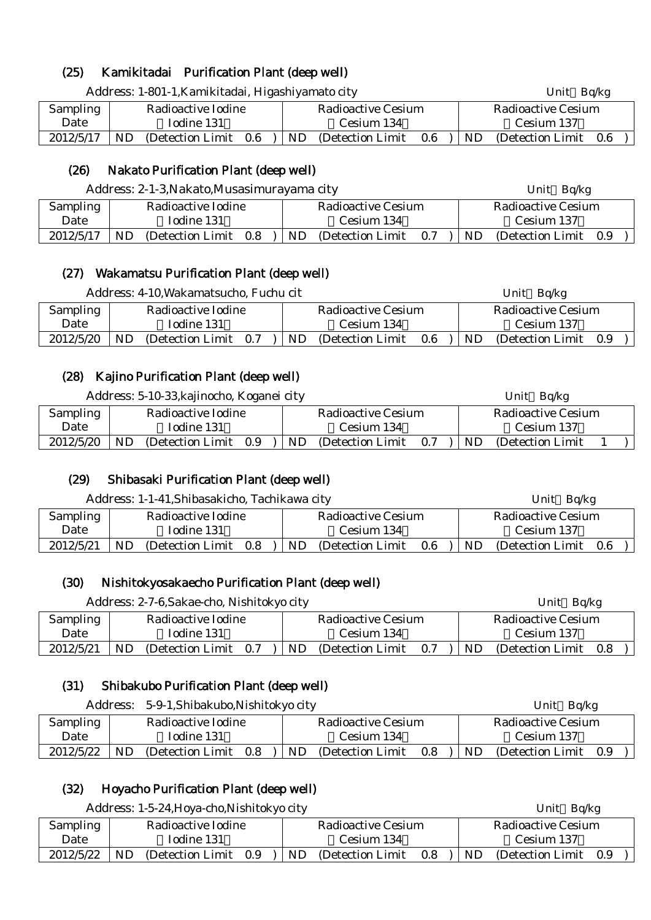## (25) Kamikitadai Purification Plant (deep well)

| Address: 1-801-1, Kamikitadai, Higashiyamato city |                    |                   |         |  |                           |                   |         |     | Unit $Bq/kg$          |  |  |  |
|---------------------------------------------------|--------------------|-------------------|---------|--|---------------------------|-------------------|---------|-----|-----------------------|--|--|--|
| Sampling                                          | Radioactive Iodine |                   |         |  | <b>Radioactive Cesium</b> |                   |         |     | Radioactive Cesium    |  |  |  |
| Date                                              | Iodine 131         |                   |         |  | Cesium 134                |                   |         |     | Cesium 137            |  |  |  |
| 2012/5/17                                         | ND                 | (Detection Limit) | $0.6\,$ |  | ND.                       | (Detection Limit) | $0.6\,$ | ND. | (Detection Limit 0.6) |  |  |  |

## (26) Nakato Purification Plant (deep well)

| Address: 2-1-3, Nakato, Musasimurayama city |                    |                   |     |  |                    |                   |     |            | Unit Bq/kg            |  |  |  |
|---------------------------------------------|--------------------|-------------------|-----|--|--------------------|-------------------|-----|------------|-----------------------|--|--|--|
| <b>Sampling</b>                             | Radioactive Iodine |                   |     |  | Radioactive Cesium |                   |     |            | Radioactive Cesium    |  |  |  |
| Date                                        | Iodine 131         |                   |     |  | Cesium 134         |                   |     | Cesium 137 |                       |  |  |  |
| 2012/5/17                                   | ND.                | (Detection Limit) | 0.8 |  | ND.                | (Detection Limit) | 0.7 | ND.        | (Detection Limit 0.9) |  |  |  |

#### (27) Wakamatsu Purification Plant (deep well)

|           | Address: 4-10, Wakamatsucho, Fuchu cit |                    |     |                    |                   |     | Bq/kg<br>Unit |                       |  |  |  |
|-----------|----------------------------------------|--------------------|-----|--------------------|-------------------|-----|---------------|-----------------------|--|--|--|
| Sampling  |                                        | Radioactive Iodine |     | Radioactive Cesium |                   |     |               | Radioactive Cesium    |  |  |  |
| Date      |                                        | Iodine 131         |     |                    | Cesium 134        |     | Cesium 137    |                       |  |  |  |
| 2012/5/20 | ND.                                    | (Detection Limit)  | 0.7 | <b>ND</b>          | (Detection Limit) | 0.6 | ND            | (Detection Limit 0.9) |  |  |  |

#### (28) Kajino Purification Plant (deep well)

|           | Address: 5-10-33, kajinocho, Koganei city |                    |     |  |            |                    |     | Unit Bq/kg |            |                           |  |  |  |
|-----------|-------------------------------------------|--------------------|-----|--|------------|--------------------|-----|------------|------------|---------------------------|--|--|--|
| Sampling  |                                           | Radioactive Iodine |     |  |            | Radioactive Cesium |     |            |            | <b>Radioactive Cesium</b> |  |  |  |
| Date      | Iodine 131                                |                    |     |  | Cesium 134 |                    |     |            | Cesium 137 |                           |  |  |  |
| 2012/5/20 | ND.                                       | (Detection Limit)  | 0.9 |  | ND.        | (Detection Limit)  | 0.7 |            | <b>ND</b>  | (Detection Limit)         |  |  |  |

#### (29) Shibasaki Purification Plant (deep well)

|           | Address: 1-1-41, Shibasakicho, Tachikawa city |                    |     |     |                    |            | Unit $Bq/kg$       |                   |     |  |
|-----------|-----------------------------------------------|--------------------|-----|-----|--------------------|------------|--------------------|-------------------|-----|--|
| Sampling  |                                               | Radioactive Iodine |     |     | Radioactive Cesium |            | Radioactive Cesium |                   |     |  |
| Date      | Iodine 131                                    |                    |     |     | Cesium 134         | Cesium 137 |                    |                   |     |  |
| 2012/5/21 | ND                                            | (Detection Limit)  | 0.8 | ND. | (Detection Limit)  | 0.6        | <b>ND</b>          | (Detection Limit) | 0.6 |  |

## (30) Nishitokyosakaecho Purification Plant (deep well)

|           | Address: 2-7-6, Sakae-cho, Nishitokyo city |                    |     |                    |                   |     |    | Bq/kg<br>Unit      |     |  |  |
|-----------|--------------------------------------------|--------------------|-----|--------------------|-------------------|-----|----|--------------------|-----|--|--|
| Sampling  |                                            | Radioactive Iodine |     | Radioactive Cesium |                   |     |    | Radioactive Cesium |     |  |  |
| Date      |                                            | Iodine 131         |     | Cesium 134         |                   |     |    | Cesium 137         |     |  |  |
| 2012/5/21 | ND                                         | (Detection Limit)  | 0.7 | ND.                | (Detection Limit) | 0.7 | ND | (Detection Limit)  | 0.8 |  |  |

## (31) Shibakubo Purification Plant (deep well)

| Address: 5-9-1, Shibakubo, Nishitokyo city |            |                    |     |  |            |                    |     |                    | Unit $Bq/kg$          |  |  |  |
|--------------------------------------------|------------|--------------------|-----|--|------------|--------------------|-----|--------------------|-----------------------|--|--|--|
| Sampling                                   |            | Radioactive Iodine |     |  |            | Radioactive Cesium |     | Radioactive Cesium |                       |  |  |  |
| Date                                       | Iodine 131 |                    |     |  | Cesium 134 |                    |     | Cesium 137         |                       |  |  |  |
| 2012/5/22                                  | ND         | (Detection Limit)  | 0.8 |  | ND.        | (Detection Limit)  | 0.8 | ND.                | (Detection Limit 0.9) |  |  |  |

## (32) Hoyacho Purification Plant (deep well)

|           | Address: 1-5-24, Hoya-cho, Nishitokyo city |  |     |                    |                   |     | Unit $Bq/kg$ |                    |     |  |  |
|-----------|--------------------------------------------|--|-----|--------------------|-------------------|-----|--------------|--------------------|-----|--|--|
| Sampling  | Radioactive Iodine                         |  |     | Radioactive Cesium |                   |     |              | Radioactive Cesium |     |  |  |
| Date      | Iodine 131                                 |  |     |                    | Cesium 134        |     | Cesium 137   |                    |     |  |  |
| 2012/5/22 | ND.<br>(Detection Limit)                   |  | 0.9 | ND.                | (Detection Limit) | 0.8 | ND.          | (Detection Limit)  | 0.9 |  |  |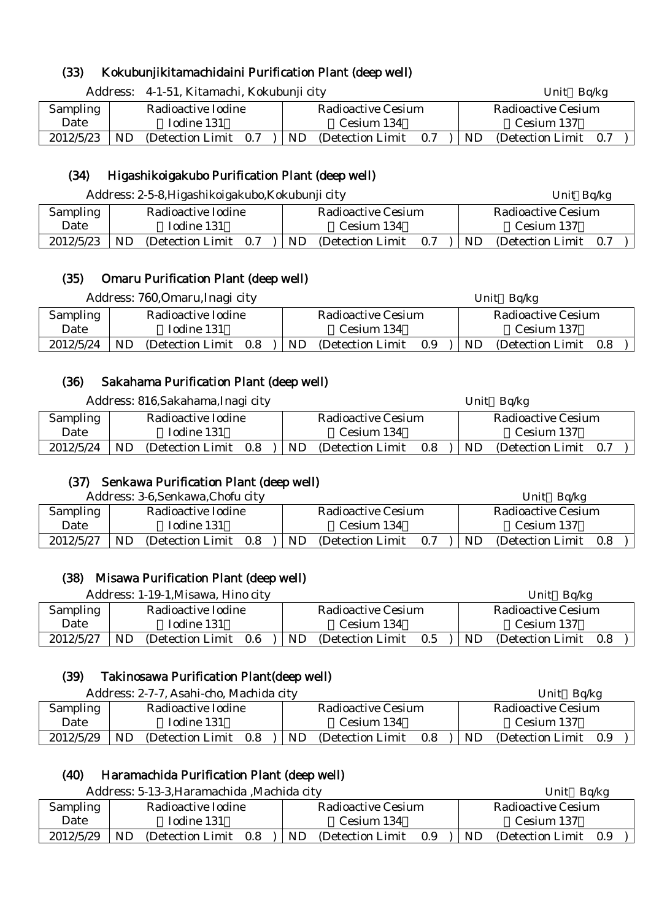## (33) Kokubunjikitamachidaini Purification Plant (deep well)

|                        | Address: 4-1-51, Kitamachi, Kokubunji city |                                 | Unit $Bq/kg$                 |  |  |  |
|------------------------|--------------------------------------------|---------------------------------|------------------------------|--|--|--|
| Sampling               | Radioactive Iodine                         | <b>Radioactive Cesium</b>       | <b>Radioactive Cesium</b>    |  |  |  |
| Date                   | Iodine 131                                 | Cesium 134                      | Cesium 137                   |  |  |  |
| 2012/5/23<br><b>ND</b> | (Detection Limit 0.7)                      | ND.<br>(Detection Limit)<br>0.7 | ND.<br>(Detection Limit 0.7) |  |  |  |

#### (34) Higashikoigakubo Purification Plant (deep well)

|           | Address: 2-5-8, Higashikoigakubo, Kokubunji city |                                       | Unit Bq/kg                     |  |  |  |
|-----------|--------------------------------------------------|---------------------------------------|--------------------------------|--|--|--|
| Sampling  | Radioactive Iodine                               | Radioactive Cesium                    | Radioactive Cesium             |  |  |  |
| Date      | Iodine 131                                       | Cesium 134                            | Cesium 137                     |  |  |  |
| 2012/5/23 | ND.<br>(Detection Limit 0.7)                     | <b>ND</b><br>(Detection Limit)<br>0.7 | ND<br>(Detection Limit)<br>0.7 |  |  |  |

#### (35) Omaru Purification Plant (deep well)

|           | Address: 760, Omaru, Inagi city | Unit Bq/kg                      |                                 |  |  |
|-----------|---------------------------------|---------------------------------|---------------------------------|--|--|
| Sampling  | Radioactive Iodine              | Radioactive Cesium              | Radioactive Cesium              |  |  |
| Date      | Iodine 131                      | Cesium 134                      | Cesium 137                      |  |  |
| 2012/5/24 | ND<br>(Detection Limit)<br>0.8  | (Detection Limit)<br>0.9<br>ND. | ND.<br>(Detection Limit)<br>0.8 |  |  |

## (36) Sakahama Purification Plant (deep well)

| Address: 816, Sakahama, Inagi city |            |                    |     |                    | Unit Bq/kg        |     |     |                           |  |  |  |
|------------------------------------|------------|--------------------|-----|--------------------|-------------------|-----|-----|---------------------------|--|--|--|
| <b>Sampling</b>                    |            | Radioactive Iodine |     | Radioactive Cesium |                   |     |     | <b>Radioactive Cesium</b> |  |  |  |
| Date                               | Iodine 131 |                    |     |                    | Cesium 134        |     |     | Cesium 137                |  |  |  |
| 2012/5/24                          | ND.        | (Detection Limit)  | 0.8 | ND.                | (Detection Limit) | 0.8 | ND. | (Detection Limit 0.7)     |  |  |  |

#### (37) Senkawa Purification Plant (deep well)

|                 |            | Address: 3-6, Senkawa, Chofu city |         |                    |                   |     |     | Bg/kg<br>Unit      |     |  |  |
|-----------------|------------|-----------------------------------|---------|--------------------|-------------------|-----|-----|--------------------|-----|--|--|
| <b>Sampling</b> |            | Radioactive Iodine                |         | Radioactive Cesium |                   |     |     | Radioactive Cesium |     |  |  |
| Date            | Iodine 131 |                                   |         |                    | Cesium 134        |     |     | Cesium 137         |     |  |  |
| 2012/5/27       | ND         | (Detection Limit)                 | $0.8\,$ | ND.                | (Detection Limit) | 0.7 | ND. | (Detection Limit)  | 0.8 |  |  |

#### (38) Misawa Purification Plant (deep well)

Address: 1-19-1, Misawa, Hino city Unit Bq/kg

| Sampling  | Radioactive Iodine                    |            | Radioactive Cesium |                   | Radioactive Cesium |     |                       |  |  |
|-----------|---------------------------------------|------------|--------------------|-------------------|--------------------|-----|-----------------------|--|--|
| Date      | Iodine 131                            | Cesium 134 |                    |                   | Cesium 137         |     |                       |  |  |
| 2012/5/27 | <b>ND</b><br>0.6<br>(Detection Limit) |            | ND.                | (Detection Limit) | 0.5                | ND. | (Detection Limit 0.8) |  |  |

#### (39) Takinosawa Purification Plant(deep well)

| Address: 2-7-7, Asahi-cho, Machida city |                    |                   |                    | Ba/kg<br>Unit |                   |                    |    |                   |     |  |
|-----------------------------------------|--------------------|-------------------|--------------------|---------------|-------------------|--------------------|----|-------------------|-----|--|
| Sampling                                | Radioactive Iodine |                   | Radioactive Cesium |               |                   | Radioactive Cesium |    |                   |     |  |
| Date                                    |                    | Iodine 131        |                    |               | Cesium 134        |                    |    | Cesium 137        |     |  |
| 2012/5/29                               | ND                 | (Detection Limit) | 0.8                | ND.           | (Detection Limit) | 0.8                | ND | (Detection Limit) | 0.9 |  |

## (40) Haramachida Purification Plant (deep well)

|                 | Address: 5-13-3, Haramachida, Machida city | Bq/kg<br>Unit                         |                                       |  |  |
|-----------------|--------------------------------------------|---------------------------------------|---------------------------------------|--|--|
| <b>Sampling</b> | Radioactive Iodine                         | Radioactive Cesium                    | Radioactive Cesium                    |  |  |
| Date            | Iodine 131                                 | Cesium 134                            | Cesium 137                            |  |  |
| 2012/5/29       | ND<br>(Detection Limit)<br>0.8             | <b>ND</b><br>0.9<br>(Detection Limit) | <b>ND</b><br>(Detection Limit)<br>0.9 |  |  |